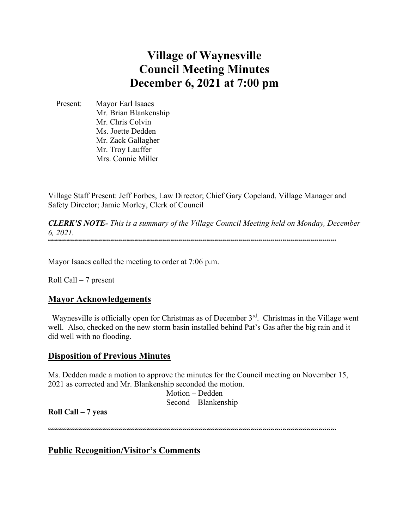# **Village of Waynesville Council Meeting Minutes December 6, 2021 at 7:00 pm**

 Present: Mayor Earl Isaacs Mr. Brian Blankenship Mr. Chris Colvin Ms. Joette Dedden Mr. Zack Gallagher Mr. Troy Lauffer Mrs. Connie Miller

Village Staff Present: Jeff Forbes, Law Director; Chief Gary Copeland, Village Manager and Safety Director; Jamie Morley, Clerk of Council

*CLERK'S NOTE- This is a summary of the Village Council Meeting held on Monday, December 6, 2021.*  """"""""""""""""""""""""""""""""""""""""""""""""""""""""""""""""""""""""

Mayor Isaacs called the meeting to order at 7:06 p.m.

Roll Call – 7 present

# **Mayor Acknowledgements**

Waynesville is officially open for Christmas as of December 3<sup>rd</sup>. Christmas in the Village went well. Also, checked on the new storm basin installed behind Pat's Gas after the big rain and it did well with no flooding.

# **Disposition of Previous Minutes**

Ms. Dedden made a motion to approve the minutes for the Council meeting on November 15, 2021 as corrected and Mr. Blankenship seconded the motion.

 Motion – Dedden Second – Blankenship

**Roll Call – 7 yeas**

 $\label{prop:main} \hspace{1.5cm} \hspace{1.5cm} \hspace{1.5cm} \hspace{1.5cm} \hspace{1.5cm} \hspace{1.5cm} \hspace{1.5cm} \hspace{1.5cm} \hspace{1.5cm} \hspace{1.5cm} \hspace{1.5cm} \hspace{1.5cm} \hspace{1.5cm} \hspace{1.5cm} \hspace{1.5cm} \hspace{1.5cm} \hspace{1.5cm} \hspace{1.5cm} \hspace{1.5cm} \hspace{1.5cm} \hspace{1.5cm} \hspace{1.5cm} \hspace{1.5cm} \hspace{1.$ 

**Public Recognition/Visitor's Comments**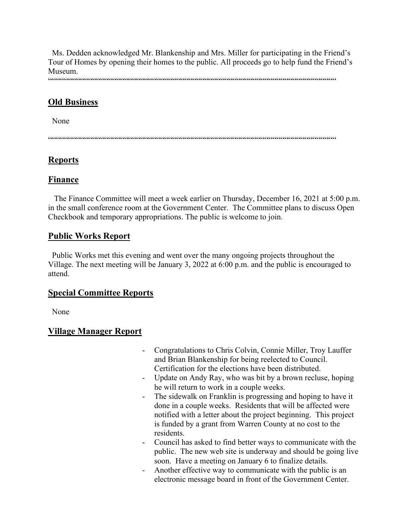Ms. Dedden acknowledged Mr. Blankenship and Mrs. Miller for participating in the Friend's Tour of Homes by opening their homes to the public. All proceeds go to help fund the Friend's Museum.

 $\label{prop:main}$ 

# **Old Business**

None

 $\label{prop:main} \hspace{15pt} \hspace{15pt} \textbf{if} \hspace{10pt} \begin{array}{l} \hspace{15pt} \textbf{if} \hspace{10pt} \textbf{if} \hspace{10pt} \textbf{if} \hspace{10pt} \textbf{if} \hspace{10pt} \textbf{if} \hspace{10pt} \textbf{if} \hspace{10pt} \textbf{if} \hspace{10pt} \textbf{if} \hspace{10pt} \textbf{if} \hspace{10pt} \textbf{if} \hspace{10pt} \textbf{if} \hspace{10pt} \textbf{if} \hspace{10pt}$ 

# **Reports**

# **Finance**

 The Finance Committee will meet a week earlier on Thursday, December 16, 2021 at 5:00 p.m. in the small conference room at the Government Center. The Committee plans to discuss Open Checkbook and temporary appropriations. The public is welcome to join.

# **Public Works Report**

 Public Works met this evening and went over the many ongoing projects throughout the Village. The next meeting will be January 3, 2022 at 6:00 p.m. and the public is encouraged to attend.

# **Special Committee Reports**

None

# **Village Manager Report**

- Congratulations to Chris Colvin, Connie Miller, Troy Lauffer and Brian Blankenship for being reelected to Council. Certification for the elections have been distributed.
- Update on Andy Ray, who was bit by a brown recluse, hoping he will return to work in a couple weeks.
- The sidewalk on Franklin is progressing and hoping to have it done in a couple weeks. Residents that will be affected were notified with a letter about the project beginning. This project is funded by a grant from Warren County at no cost to the residents.
- Council has asked to find better ways to communicate with the public. The new web site is underway and should be going live soon. Have a meeting on January 6 to finalize details.
- Another effective way to communicate with the public is an electronic message board in front of the Government Center.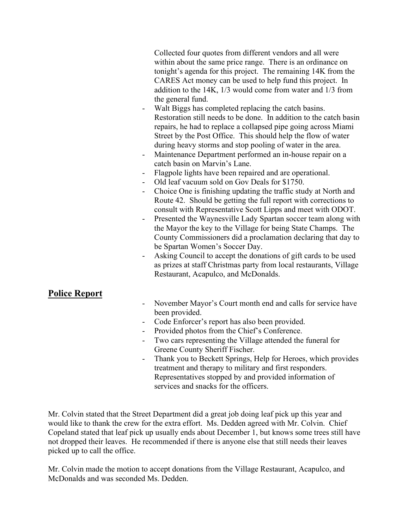Collected four quotes from different vendors and all were within about the same price range. There is an ordinance on tonight's agenda for this project. The remaining 14K from the CARES Act money can be used to help fund this project. In addition to the 14K, 1/3 would come from water and 1/3 from the general fund.

- Walt Biggs has completed replacing the catch basins. Restoration still needs to be done. In addition to the catch basin repairs, he had to replace a collapsed pipe going across Miami Street by the Post Office. This should help the flow of water during heavy storms and stop pooling of water in the area.
- Maintenance Department performed an in-house repair on a catch basin on Marvin's Lane.
- Flagpole lights have been repaired and are operational.
- Old leaf vacuum sold on Gov Deals for \$1750.
- Choice One is finishing updating the traffic study at North and Route 42. Should be getting the full report with corrections to consult with Representative Scott Lipps and meet with ODOT.
- Presented the Waynesville Lady Spartan soccer team along with the Mayor the key to the Village for being State Champs. The County Commissioners did a proclamation declaring that day to be Spartan Women's Soccer Day.
- Asking Council to accept the donations of gift cards to be used as prizes at staff Christmas party from local restaurants, Village Restaurant, Acapulco, and McDonalds.

# **Police Report**

- November Mayor's Court month end and calls for service have been provided.
- Code Enforcer's report has also been provided.
- Provided photos from the Chief's Conference.
- Two cars representing the Village attended the funeral for Greene County Sheriff Fischer.
- Thank you to Beckett Springs, Help for Heroes, which provides treatment and therapy to military and first responders. Representatives stopped by and provided information of services and snacks for the officers.

Mr. Colvin stated that the Street Department did a great job doing leaf pick up this year and would like to thank the crew for the extra effort. Ms. Dedden agreed with Mr. Colvin. Chief Copeland stated that leaf pick up usually ends about December 1, but knows some trees still have not dropped their leaves. He recommended if there is anyone else that still needs their leaves picked up to call the office.

Mr. Colvin made the motion to accept donations from the Village Restaurant, Acapulco, and McDonalds and was seconded Ms. Dedden.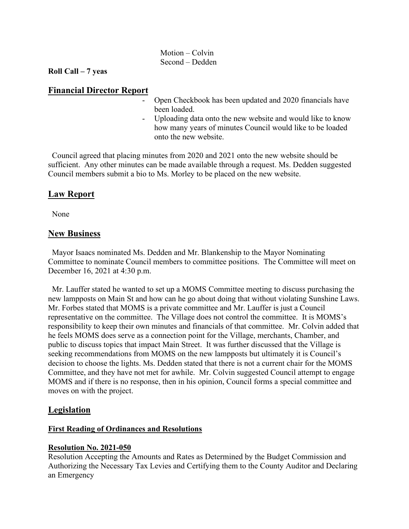#### Motion – Colvin Second – Dedden

#### **Roll Call – 7 yeas**

## **Financial Director Report**

- Open Checkbook has been updated and 2020 financials have been loaded.
- Uploading data onto the new website and would like to know how many years of minutes Council would like to be loaded onto the new website.

 Council agreed that placing minutes from 2020 and 2021 onto the new website should be sufficient. Any other minutes can be made available through a request. Ms. Dedden suggested Council members submit a bio to Ms. Morley to be placed on the new website.

# **Law Report**

None

#### **New Business**

 Mayor Isaacs nominated Ms. Dedden and Mr. Blankenship to the Mayor Nominating Committee to nominate Council members to committee positions. The Committee will meet on December 16, 2021 at 4:30 p.m.

 Mr. Lauffer stated he wanted to set up a MOMS Committee meeting to discuss purchasing the new lampposts on Main St and how can he go about doing that without violating Sunshine Laws. Mr. Forbes stated that MOMS is a private committee and Mr. Lauffer is just a Council representative on the committee. The Village does not control the committee. It is MOMS's responsibility to keep their own minutes and financials of that committee. Mr. Colvin added that he feels MOMS does serve as a connection point for the Village, merchants, Chamber, and public to discuss topics that impact Main Street. It was further discussed that the Village is seeking recommendations from MOMS on the new lampposts but ultimately it is Council's decision to choose the lights. Ms. Dedden stated that there is not a current chair for the MOMS Committee, and they have not met for awhile. Mr. Colvin suggested Council attempt to engage MOMS and if there is no response, then in his opinion, Council forms a special committee and moves on with the project.

# **Legislation**

# **First Reading of Ordinances and Resolutions**

#### **Resolution No. 2021-050**

Resolution Accepting the Amounts and Rates as Determined by the Budget Commission and Authorizing the Necessary Tax Levies and Certifying them to the County Auditor and Declaring an Emergency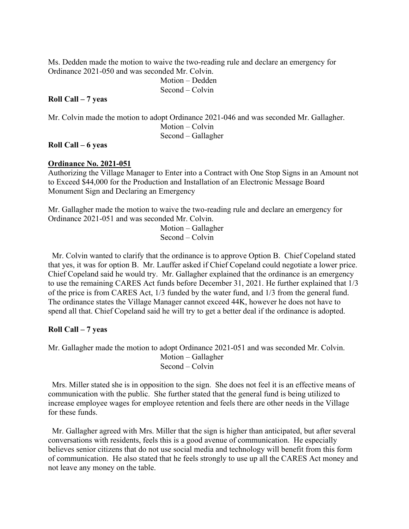Ms. Dedden made the motion to waive the two-reading rule and declare an emergency for Ordinance 2021-050 and was seconded Mr. Colvin.

 Motion – Dedden Second – Colvin

## **Roll Call – 7 yeas**

Mr. Colvin made the motion to adopt Ordinance 2021-046 and was seconded Mr. Gallagher. Motion – Colvin Second – Gallagher

## **Roll Call – 6 yeas**

#### **Ordinance No. 2021-051**

Authorizing the Village Manager to Enter into a Contract with One Stop Signs in an Amount not to Exceed \$44,000 for the Production and Installation of an Electronic Message Board Monument Sign and Declaring an Emergency

Mr. Gallagher made the motion to waive the two-reading rule and declare an emergency for Ordinance 2021-051 and was seconded Mr. Colvin.

 Motion – Gallagher Second – Colvin

 Mr. Colvin wanted to clarify that the ordinance is to approve Option B. Chief Copeland stated that yes, it was for option B. Mr. Lauffer asked if Chief Copeland could negotiate a lower price. Chief Copeland said he would try. Mr. Gallagher explained that the ordinance is an emergency to use the remaining CARES Act funds before December 31, 2021. He further explained that 1/3 of the price is from CARES Act, 1/3 funded by the water fund, and 1/3 from the general fund. The ordinance states the Village Manager cannot exceed 44K, however he does not have to spend all that. Chief Copeland said he will try to get a better deal if the ordinance is adopted.

# **Roll Call – 7 yeas**

Mr. Gallagher made the motion to adopt Ordinance 2021-051 and was seconded Mr. Colvin. Motion – Gallagher Second – Colvin

Mrs. Miller stated she is in opposition to the sign. She does not feel it is an effective means of communication with the public. She further stated that the general fund is being utilized to increase employee wages for employee retention and feels there are other needs in the Village for these funds.

 Mr. Gallagher agreed with Mrs. Miller that the sign is higher than anticipated, but after several conversations with residents, feels this is a good avenue of communication. He especially believes senior citizens that do not use social media and technology will benefit from this form of communication. He also stated that he feels strongly to use up all the CARES Act money and not leave any money on the table.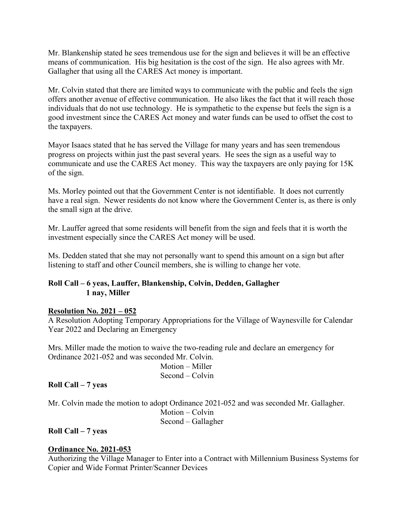Mr. Blankenship stated he sees tremendous use for the sign and believes it will be an effective means of communication. His big hesitation is the cost of the sign. He also agrees with Mr. Gallagher that using all the CARES Act money is important.

Mr. Colvin stated that there are limited ways to communicate with the public and feels the sign offers another avenue of effective communication. He also likes the fact that it will reach those individuals that do not use technology. He is sympathetic to the expense but feels the sign is a good investment since the CARES Act money and water funds can be used to offset the cost to the taxpayers.

Mayor Isaacs stated that he has served the Village for many years and has seen tremendous progress on projects within just the past several years. He sees the sign as a useful way to communicate and use the CARES Act money. This way the taxpayers are only paying for 15K of the sign.

Ms. Morley pointed out that the Government Center is not identifiable. It does not currently have a real sign. Newer residents do not know where the Government Center is, as there is only the small sign at the drive.

Mr. Lauffer agreed that some residents will benefit from the sign and feels that it is worth the investment especially since the CARES Act money will be used.

Ms. Dedden stated that she may not personally want to spend this amount on a sign but after listening to staff and other Council members, she is willing to change her vote.

# **Roll Call – 6 yeas, Lauffer, Blankenship, Colvin, Dedden, Gallagher 1 nay, Miller**

# **Resolution No. 2021 – 052**

A Resolution Adopting Temporary Appropriations for the Village of Waynesville for Calendar Year 2022 and Declaring an Emergency

Mrs. Miller made the motion to waive the two-reading rule and declare an emergency for Ordinance 2021-052 and was seconded Mr. Colvin.

> Motion – Miller Second – Colvin

# **Roll Call – 7 yeas**

Mr. Colvin made the motion to adopt Ordinance 2021-052 and was seconded Mr. Gallagher. Motion – Colvin Second – Gallagher

# **Roll Call – 7 yeas**

# **Ordinance No. 2021-053**

Authorizing the Village Manager to Enter into a Contract with Millennium Business Systems for Copier and Wide Format Printer/Scanner Devices